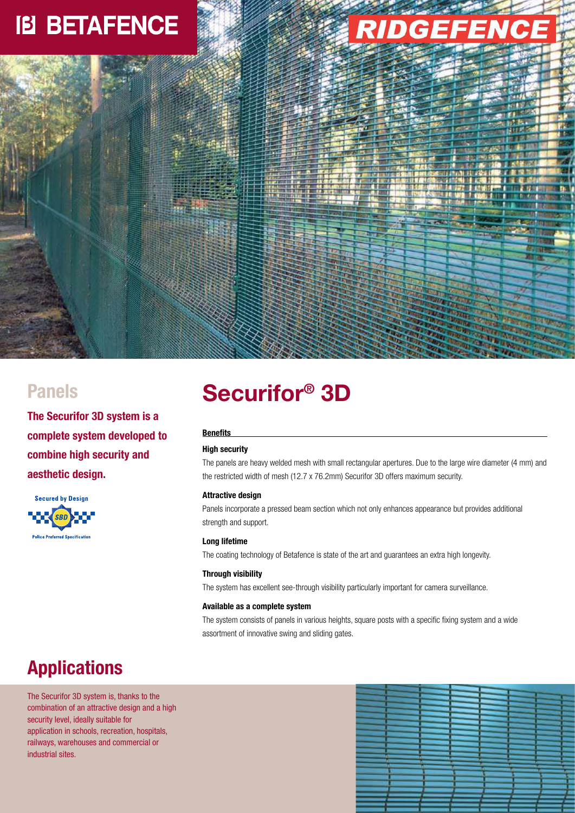# **IB BETAFENCE**



**The Securifor 3D system is a complete system developed to combine high security and aesthetic design.** 

**Secured by Design SBD Police Preferred Specification** 

## **Securifor® Panels 3D**

### **Benefits**

### **High security**

The panels are heavy welded mesh with small rectangular apertures. Due to the large wire diameter (4 mm) and the restricted width of mesh (12.7 x 76.2mm) Securifor 3D offers maximum security.

### **Attractive design**

Panels incorporate a pressed beam section which not only enhances appearance but provides additional strength and support.

### **Long lifetime**

The coating technology of Betafence is state of the art and guarantees an extra high longevity.

### **Through visibility**

The system has excellent see-through visibility particularly important for camera surveillance.

### **Available as a complete system**

The system consists of panels in various heights, square posts with a specific fixing system and a wide assortment of innovative swing and sliding gates.

## **Applications**

The Securifor 3D system is, thanks to the combination of an attractive design and a high security level, ideally suitable for application in schools, recreation, hospitals, railways, warehouses and commercial or industrial sites.